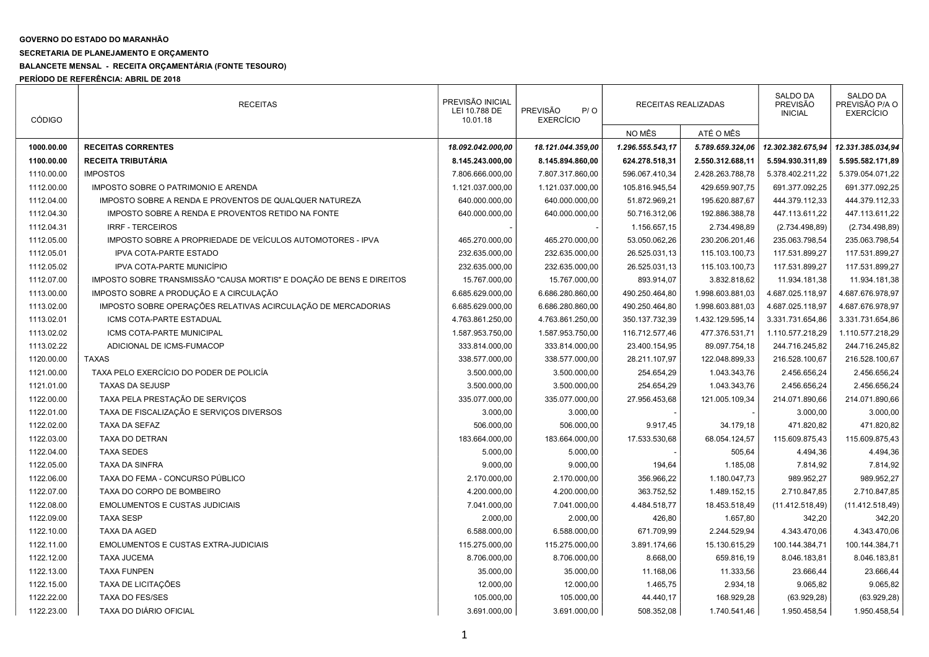## GOVERNO DO ESTADO DO MARANHÃO

## SECRETARIA DE PLANEJAMENTO E ORÇAMENTO

## BALANCETE MENSAL - RECEITA ORÇAMENTÁRIA (FONTE TESOURO)

PERÍODO DE REFERÊNCIA: ABRIL DE 2018

| <b>CÓDIGO</b> | <b>RECEITAS</b>                                                      | PREVISÃO INICIAL<br>LEI 10.788 DE<br>10.01.18 | <b>PREVISÃO</b><br>P/O<br><b>EXERCÍCIO</b> | RECEITAS REALIZADAS |                  | <b>SALDO DA</b><br><b>PREVISÃO</b><br><b>INICIAL</b> | SALDO DA<br>PREVISÃO P/A O<br><b>EXERCÍCIO</b> |
|---------------|----------------------------------------------------------------------|-----------------------------------------------|--------------------------------------------|---------------------|------------------|------------------------------------------------------|------------------------------------------------|
|               |                                                                      |                                               |                                            | NO MÊS              | ATÉ O MÊS        |                                                      |                                                |
| 1000.00.00    | <b>RECEITAS CORRENTES</b>                                            | 18.092.042.000,00                             | 18.121.044.359,00                          | 1.296.555.543,17    | 5.789.659.324,06 | 12.302.382.675,94                                    | 12.331.385.034,94                              |
| 1100.00.00    | RECEITA TRIBUTÁRIA                                                   | 8.145.243.000,00                              | 8.145.894.860,00                           | 624.278.518,31      | 2.550.312.688,11 | 5.594.930.311,89                                     | 5.595.582.171,89                               |
| 1110.00.00    | <b>IMPOSTOS</b>                                                      | 7.806.666.000,00                              | 7.807.317.860,00                           | 596.067.410,34      | 2.428.263.788,78 | 5.378.402.211,22                                     | 5.379.054.071,22                               |
| 1112.00.00    | IMPOSTO SOBRE O PATRIMONIO E ARENDA                                  | 1.121.037.000,00                              | 1.121.037.000,00                           | 105.816.945,54      | 429.659.907,75   | 691.377.092,25                                       | 691.377.092,25                                 |
| 1112.04.00    | IMPOSTO SOBRE A RENDA E PROVENTOS DE QUALQUER NATUREZA               | 640.000.000,00                                | 640.000.000,00                             | 51.872.969,21       | 195.620.887,67   | 444.379.112,33                                       | 444.379.112,33                                 |
| 1112.04.30    | IMPOSTO SOBRE A RENDA E PROVENTOS RETIDO NA FONTE                    | 640.000.000,00                                | 640.000.000,00                             | 50.716.312,06       | 192.886.388,78   | 447.113.611,22                                       | 447.113.611,22                                 |
| 1112.04.31    | <b>IRRF - TERCEIROS</b>                                              |                                               |                                            | 1.156.657,15        | 2.734.498,89     | (2.734.498, 89)                                      | (2.734.498, 89)                                |
| 1112.05.00    | IMPOSTO SOBRE A PROPRIEDADE DE VEÍCULOS AUTOMOTORES - IPVA           | 465.270.000,00                                | 465.270.000,00                             | 53.050.062,26       | 230.206.201,46   | 235.063.798,54                                       | 235.063.798,54                                 |
| 1112.05.01    | <b>IPVA COTA-PARTE ESTADO</b>                                        | 232.635.000,00                                | 232.635.000,00                             | 26.525.031,13       | 115.103.100,73   | 117.531.899,27                                       | 117.531.899,27                                 |
| 1112.05.02    | IPVA COTA-PARTE MUNICÍPIO                                            | 232.635.000,00                                | 232.635.000,00                             | 26.525.031,13       | 115.103.100,73   | 117.531.899,27                                       | 117.531.899,27                                 |
| 1112.07.00    | IMPOSTO SOBRE TRANSMISSÃO "CAUSA MORTIS" E DOAÇÃO DE BENS E DIREITOS | 15.767.000,00                                 | 15.767.000,00                              | 893.914,07          | 3.832.818,62     | 11.934.181,38                                        | 11.934.181,38                                  |
| 1113.00.00    | IMPOSTO SOBRE A PRODUÇÃO E A CIRCULAÇÃO                              | 6.685.629.000,00                              | 6.686.280.860,00                           | 490.250.464,80      | 1.998.603.881,03 | 4.687.025.118,97                                     | 4.687.676.978,97                               |
| 1113.02.00    | IMPOSTO SOBRE OPERAÇÕES RELATIVAS ACIRCULAÇÃO DE MERCADORIAS         | 6.685.629.000,00                              | 6.686.280.860,00                           | 490.250.464,80      | 1.998.603.881,03 | 4.687.025.118,97                                     | 4.687.676.978,97                               |
| 1113.02.01    | ICMS COTA-PARTE ESTADUAL                                             | 4.763.861.250,00                              | 4.763.861.250,00                           | 350.137.732,39      | 1.432.129.595,14 | 3.331.731.654,86                                     | 3.331.731.654,86                               |
| 1113.02.02    | ICMS COTA-PARTE MUNICIPAL                                            | 1.587.953.750,00                              | 1.587.953.750.00                           | 116.712.577,46      | 477.376.531,71   | 1.110.577.218,29                                     | 1.110.577.218,29                               |
| 1113.02.22    | ADICIONAL DE ICMS-FUMACOP                                            | 333.814.000,00                                | 333.814.000,00                             | 23.400.154,95       | 89.097.754,18    | 244.716.245,82                                       | 244.716.245,82                                 |
| 1120.00.00    | <b>TAXAS</b>                                                         | 338.577.000,00                                | 338.577.000,00                             | 28.211.107,97       | 122.048.899,33   | 216.528.100,67                                       | 216.528.100,67                                 |
| 1121.00.00    | TAXA PELO EXERCÍCIO DO PODER DE POLICÍA                              | 3.500.000,00                                  | 3.500.000,00                               | 254.654,29          | 1.043.343,76     | 2.456.656,24                                         | 2.456.656,24                                   |
| 1121.01.00    | <b>TAXAS DA SEJUSP</b>                                               | 3.500.000,00                                  | 3.500.000,00                               | 254.654,29          | 1.043.343,76     | 2.456.656,24                                         | 2.456.656,24                                   |
| 1122.00.00    | TAXA PELA PRESTAÇÃO DE SERVIÇOS                                      | 335.077.000,00                                | 335.077.000,00                             | 27.956.453,68       | 121.005.109,34   | 214.071.890,66                                       | 214.071.890,66                                 |
| 1122.01.00    | TAXA DE FISCALIZAÇÃO E SERVIÇOS DIVERSOS                             | 3.000,00                                      | 3.000,00                                   |                     |                  | 3.000,00                                             | 3.000,00                                       |
| 1122.02.00    | TAXA DA SEFAZ                                                        | 506.000,00                                    | 506.000,00                                 | 9.917,45            | 34.179,18        | 471.820,82                                           | 471.820,82                                     |
| 1122.03.00    | TAXA DO DETRAN                                                       | 183.664.000,00                                | 183.664.000,00                             | 17.533.530,68       | 68.054.124,57    | 115.609.875,43                                       | 115.609.875,43                                 |
| 1122.04.00    | <b>TAXA SEDES</b>                                                    | 5.000,00                                      | 5.000,00                                   |                     | 505,64           | 4.494,36                                             | 4.494,36                                       |
| 1122.05.00    | <b>TAXA DA SINFRA</b>                                                | 9.000,00                                      | 9.000,00                                   | 194,64              | 1.185,08         | 7.814,92                                             | 7.814,92                                       |
| 1122.06.00    | TAXA DO FEMA - CONCURSO PÚBLICO                                      | 2.170.000,00                                  | 2.170.000,00                               | 356.966,22          | 1.180.047,73     | 989.952,27                                           | 989.952,27                                     |
| 1122.07.00    | TAXA DO CORPO DE BOMBEIRO                                            | 4.200.000,00                                  | 4.200.000,00                               | 363.752,52          | 1.489.152,15     | 2.710.847,85                                         | 2.710.847,85                                   |
| 1122.08.00    | <b>EMOLUMENTOS E CUSTAS JUDICIAIS</b>                                | 7.041.000,00                                  | 7.041.000,00                               | 4.484.518,77        | 18.453.518,49    | (11.412.518,49)                                      | (11.412.518,49)                                |
| 1122.09.00    | <b>TAXA SESP</b>                                                     | 2.000,00                                      | 2.000,00                                   | 426,80              | 1.657,80         | 342,20                                               | 342,20                                         |
| 1122.10.00    | <b>TAXA DA AGED</b>                                                  | 6.588.000,00                                  | 6.588.000,00                               | 671.709,99          | 2.244.529,94     | 4.343.470,06                                         | 4.343.470,06                                   |
| 1122.11.00    | <b>EMOLUMENTOS E CUSTAS EXTRA-JUDICIAIS</b>                          | 115.275.000,00                                | 115.275.000,00                             | 3.891.174,66        | 15.130.615,29    | 100.144.384,71                                       | 100.144.384,71                                 |
| 1122.12.00    | <b>TAXA JUCEMA</b>                                                   | 8.706.000,00                                  | 8.706.000,00                               | 8.668,00            | 659.816,19       | 8.046.183,81                                         | 8.046.183,81                                   |
| 1122.13.00    | <b>TAXA FUNPEN</b>                                                   | 35.000,00                                     | 35.000,00                                  | 11.168,06           | 11.333,56        | 23.666,44                                            | 23.666,44                                      |
| 1122.15.00    | TAXA DE LICITAÇÕES                                                   | 12.000,00                                     | 12.000,00                                  | 1.465,75            | 2.934,18         | 9.065,82                                             | 9.065,82                                       |
| 1122.22.00    | <b>TAXA DO FES/SES</b>                                               | 105.000,00                                    | 105.000,00                                 | 44.440,17           | 168.929,28       | (63.929, 28)                                         | (63.929, 28)                                   |
| 1122.23.00    | TAXA DO DIÁRIO OFICIAL                                               | 3.691.000,00                                  | 3.691.000,00                               | 508.352,08          | 1.740.541,46     | 1.950.458,54                                         | 1.950.458,54                                   |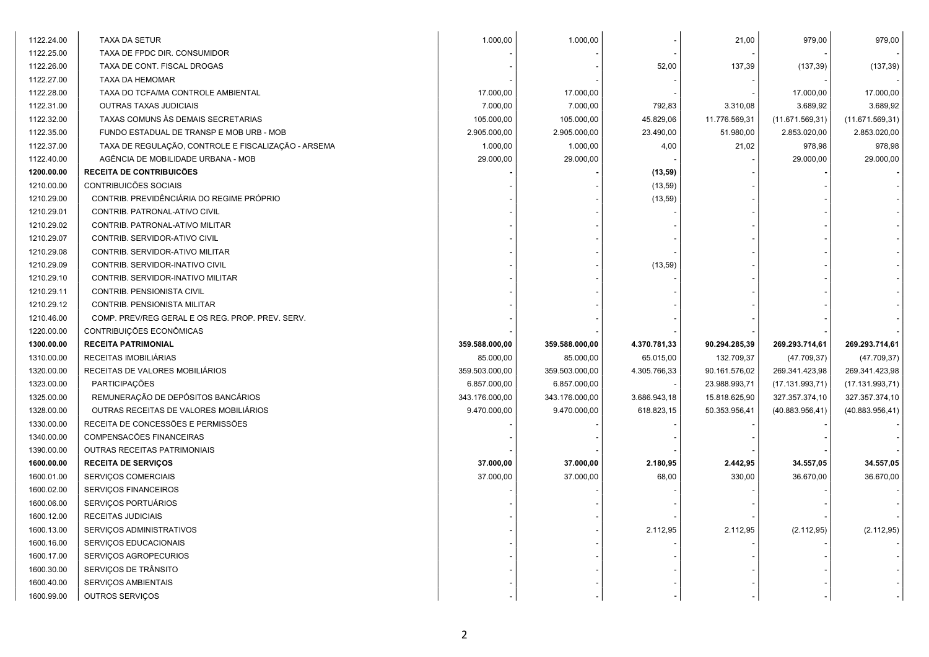| 1122.24.00 | TAXA DA SETUR                                       | 1.000,00       | 1.000,00       |              | 21,00         | 979,00           | 979,00           |
|------------|-----------------------------------------------------|----------------|----------------|--------------|---------------|------------------|------------------|
| 1122.25.00 | TAXA DE FPDC DIR. CONSUMIDOR                        |                |                |              |               |                  |                  |
| 1122.26.00 | TAXA DE CONT. FISCAL DROGAS                         |                |                | 52,00        | 137,39        | (137, 39)        | (137, 39)        |
| 1122.27.00 | <b>TAXA DA HEMOMAR</b>                              |                |                |              |               |                  |                  |
| 1122.28.00 | TAXA DO TCFA/MA CONTROLE AMBIENTAL                  | 17.000,00      | 17.000,00      |              |               | 17.000,00        | 17.000,00        |
| 1122.31.00 | <b>OUTRAS TAXAS JUDICIAIS</b>                       | 7.000,00       | 7.000,00       | 792,83       | 3.310,08      | 3.689,92         | 3.689,92         |
| 1122.32.00 | TAXAS COMUNS ÀS DEMAIS SECRETARIAS                  | 105.000,00     | 105.000,00     | 45.829,06    | 11.776.569,31 | (11.671.569, 31) | (11.671.569, 31) |
| 1122.35.00 | FUNDO ESTADUAL DE TRANSP E MOB URB - MOB            | 2.905.000,00   | 2.905.000,00   | 23.490,00    | 51.980,00     | 2.853.020,00     | 2.853.020,00     |
| 1122.37.00 | TAXA DE REGULAÇÃO, CONTROLE E FISCALIZAÇÃO - ARSEMA | 1.000,00       | 1.000,00       | 4,00         | 21,02         | 978,98           | 978,98           |
| 1122.40.00 | AGÊNCIA DE MOBILIDADE URBANA - MOB                  | 29.000,00      | 29.000,00      |              |               | 29.000,00        | 29.000,00        |
| 1200.00.00 | RECEITA DE CONTRIBUICÕES                            |                |                | (13, 59)     |               |                  |                  |
| 1210.00.00 | CONTRIBUICÕES SOCIAIS                               |                |                | (13, 59)     |               |                  |                  |
| 1210.29.00 | CONTRIB. PREVIDÊNCIÁRIA DO REGIME PRÓPRIO           |                |                | (13, 59)     |               |                  |                  |
| 1210.29.01 | CONTRIB. PATRONAL-ATIVO CIVIL                       |                |                |              |               |                  |                  |
| 1210.29.02 | CONTRIB. PATRONAL-ATIVO MILITAR                     |                |                |              |               |                  |                  |
| 1210.29.07 | CONTRIB. SERVIDOR-ATIVO CIVIL                       |                |                |              |               |                  |                  |
| 1210.29.08 | CONTRIB. SERVIDOR-ATIVO MILITAR                     |                |                |              |               |                  |                  |
| 1210.29.09 | CONTRIB. SERVIDOR-INATIVO CIVIL                     |                |                | (13, 59)     |               |                  |                  |
| 1210.29.10 | CONTRIB. SERVIDOR-INATIVO MILITAR                   |                |                |              |               |                  |                  |
| 1210.29.11 | CONTRIB. PENSIONISTA CIVIL                          |                |                |              |               |                  |                  |
| 1210.29.12 | CONTRIB. PENSIONISTA MILITAR                        |                |                |              |               |                  |                  |
| 1210.46.00 | COMP. PREV/REG GERAL E OS REG. PROP. PREV. SERV.    |                |                |              |               |                  |                  |
| 1220.00.00 | CONTRIBUIÇÕES ECONÔMICAS                            |                |                |              |               |                  |                  |
| 1300.00.00 | <b>RECEITA PATRIMONIAL</b>                          | 359.588.000,00 | 359.588.000,00 | 4.370.781,33 | 90.294.285,39 | 269.293.714,61   | 269.293.714,61   |
| 1310.00.00 | RECEITAS IMOBILIÁRIAS                               | 85.000,00      | 85.000,00      | 65.015,00    | 132.709,37    | (47.709, 37)     | (47.709, 37)     |
| 1320.00.00 | RECEITAS DE VALORES MOBILIÁRIOS                     | 359.503.000,00 | 359.503.000,00 | 4.305.766,33 | 90.161.576,02 | 269.341.423,98   | 269.341.423,98   |
| 1323.00.00 | PARTICIPAÇÕES                                       | 6.857.000,00   | 6.857.000,00   |              | 23.988.993,71 | (17.131.993,71)  | (17.131.993,71)  |
| 1325.00.00 | REMUNERAÇÃO DE DEPÓSITOS BANCÁRIOS                  | 343.176.000,00 | 343.176.000,00 | 3.686.943,18 | 15.818.625,90 | 327.357.374,10   | 327.357.374,10   |
| 1328.00.00 | OUTRAS RECEITAS DE VALORES MOBILIÁRIOS              | 9.470.000,00   | 9.470.000,00   | 618.823,15   | 50.353.956,41 | (40.883.956, 41) | (40.883.956, 41) |
| 1330.00.00 | RECEITA DE CONCESSÕES E PERMISSÕES                  |                |                |              |               |                  |                  |
| 1340.00.00 | COMPENSACÕES FINANCEIRAS                            |                |                |              |               |                  |                  |
| 1390.00.00 | OUTRAS RECEITAS PATRIMONIAIS                        |                |                |              |               |                  |                  |
| 1600.00.00 | <b>RECEITA DE SERVIÇOS</b>                          | 37.000,00      | 37.000,00      | 2.180,95     | 2.442,95      | 34.557,05        | 34.557,05        |
| 1600.01.00 | SERVIÇOS COMERCIAIS                                 | 37.000,00      | 37.000,00      | 68,00        | 330,00        | 36.670,00        | 36.670,00        |
| 1600.02.00 | SERVIÇOS FINANCEIROS                                |                |                |              |               |                  |                  |
| 1600.06.00 | SERVIÇOS PORTUÁRIOS                                 |                |                |              |               |                  |                  |
| 1600.12.00 | RECEITAS JUDICIAIS                                  |                |                |              |               |                  |                  |
| 1600.13.00 | SERVIÇOS ADMINISTRATIVOS                            |                |                | 2.112,95     | 2.112,95      | (2.112, 95)      | (2.112, 95)      |
| 1600.16.00 | SERVIÇOS EDUCACIONAIS                               |                |                |              |               |                  |                  |
| 1600.17.00 | SERVIÇOS AGROPECURIOS                               |                |                |              |               |                  |                  |
| 1600.30.00 | SERVIÇOS DE TRÂNSITO                                |                |                |              |               |                  |                  |
| 1600.40.00 | SERVIÇOS AMBIENTAIS                                 |                |                |              |               |                  |                  |
| 1600.99.00 | <b>OUTROS SERVIÇOS</b>                              |                |                |              |               |                  |                  |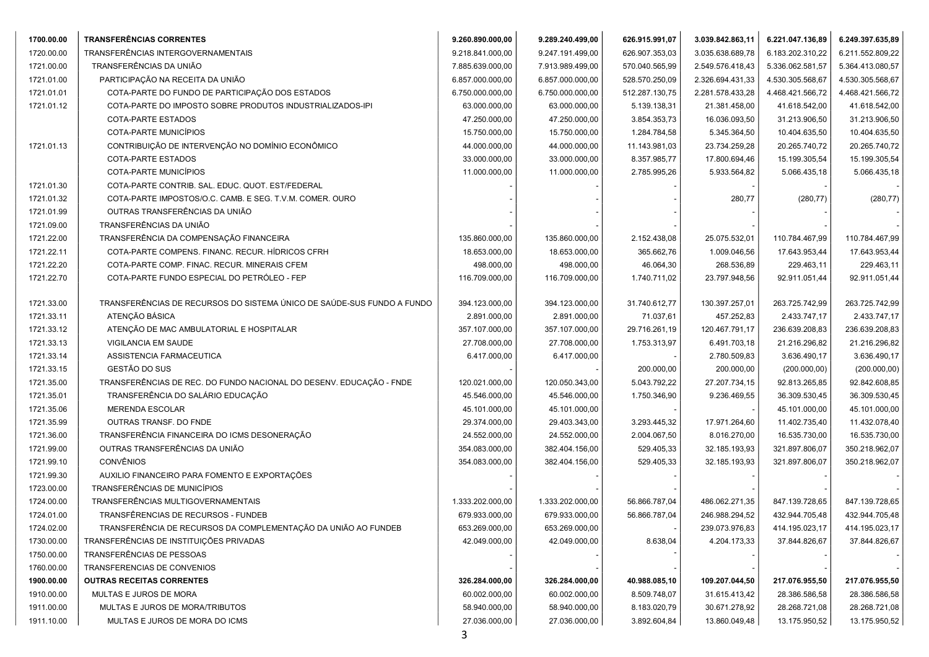| 1700.00.00 | <b>TRANSFERÊNCIAS CORRENTES</b>                                        | 9.260.890.000,00 | 9.289.240.499,00 | 626.915.991,07 | 3.039.842.863,11 | 6.221.047.136,89 | 6.249.397.635,89 |
|------------|------------------------------------------------------------------------|------------------|------------------|----------------|------------------|------------------|------------------|
| 1720.00.00 | TRANSFERÊNCIAS INTERGOVERNAMENTAIS                                     | 9.218.841.000,00 | 9.247.191.499,00 | 626.907.353,03 | 3.035.638.689,78 | 6.183.202.310,22 | 6.211.552.809,22 |
| 1721.00.00 | TRANSFERÊNCIAS DA UNIÃO                                                | 7.885.639.000,00 | 7.913.989.499,00 | 570.040.565,99 | 2.549.576.418,43 | 5.336.062.581,57 | 5.364.413.080,57 |
| 1721.01.00 | PARTICIPAÇÃO NA RECEITA DA UNIÃO                                       | 6.857.000.000,00 | 6.857.000.000,00 | 528.570.250,09 | 2.326.694.431,33 | 4.530.305.568,67 | 4.530.305.568,67 |
| 1721.01.01 | COTA-PARTE DO FUNDO DE PARTICIPAÇÃO DOS ESTADOS                        | 6.750.000.000,00 | 6.750.000.000,00 | 512.287.130,75 | 2.281.578.433,28 | 4.468.421.566,72 | 4.468.421.566,72 |
| 1721.01.12 | COTA-PARTE DO IMPOSTO SOBRE PRODUTOS INDUSTRIALIZADOS-IPI              | 63.000.000,00    | 63.000.000,00    | 5.139.138,31   | 21.381.458,00    | 41.618.542,00    | 41.618.542,00    |
|            | COTA-PARTE ESTADOS                                                     | 47.250.000,00    | 47.250.000,00    | 3.854.353,73   | 16.036.093,50    | 31.213.906,50    | 31.213.906,50    |
|            | COTA-PARTE MUNICÍPIOS                                                  | 15.750.000,00    | 15.750.000,00    | 1.284.784,58   | 5.345.364,50     | 10.404.635,50    | 10.404.635,50    |
| 1721.01.13 | CONTRIBUIÇÃO DE INTERVENÇÃO NO DOMÍNIO ECONÔMICO                       | 44.000.000,00    | 44.000.000,00    | 11.143.981,03  | 23.734.259,28    | 20.265.740,72    | 20.265.740,72    |
|            | COTA-PARTE ESTADOS                                                     | 33.000.000,00    | 33.000.000,00    | 8.357.985,77   | 17.800.694,46    | 15.199.305,54    | 15.199.305,54    |
|            | COTA-PARTE MUNICÍPIOS                                                  | 11.000.000,00    | 11.000.000,00    | 2.785.995,26   | 5.933.564,82     | 5.066.435,18     | 5.066.435,18     |
| 1721.01.30 | COTA-PARTE CONTRIB. SAL. EDUC. QUOT. EST/FEDERAL                       |                  |                  |                |                  |                  |                  |
| 1721.01.32 | COTA-PARTE IMPOSTOS/O.C. CAMB. E SEG. T.V.M. COMER. OURO               |                  |                  |                | 280,77           | (280, 77)        | (280, 77)        |
| 1721.01.99 | OUTRAS TRANSFERÊNCIAS DA UNIÃO                                         |                  |                  |                |                  |                  |                  |
| 1721.09.00 | TRANSFERÊNCIAS DA UNIÃO                                                |                  |                  |                |                  |                  |                  |
| 1721.22.00 | TRANSFERÊNCIA DA COMPENSAÇÃO FINANCEIRA                                | 135.860.000,00   | 135.860.000,00   | 2.152.438,08   | 25.075.532,01    | 110.784.467,99   | 110.784.467,99   |
| 1721.22.11 | COTA-PARTE COMPENS. FINANC. RECUR. HÍDRICOS CFRH                       | 18.653.000,00    | 18.653.000,00    | 365.662,76     | 1.009.046,56     | 17.643.953,44    | 17.643.953,44    |
| 1721.22.20 | COTA-PARTE COMP. FINAC. RECUR. MINERAIS CFEM                           | 498.000,00       | 498.000,00       | 46.064,30      | 268.536,89       | 229.463,11       | 229.463,11       |
| 1721.22.70 | COTA-PARTE FUNDO ESPECIAL DO PETRÓLEO - FEP                            | 116.709.000,00   | 116.709.000,00   | 1.740.711,02   | 23.797.948,56    | 92.911.051,44    | 92.911.051,44    |
|            |                                                                        |                  |                  |                |                  |                  |                  |
| 1721.33.00 | TRANSFERÊNCIAS DE RECURSOS DO SISTEMA ÚNICO DE SAÚDE-SUS FUNDO A FUNDO | 394.123.000,00   | 394.123.000,00   | 31.740.612,77  | 130.397.257,01   | 263.725.742,99   | 263.725.742,99   |
| 1721.33.11 | ATENÇÃO BÁSICA                                                         | 2.891.000,00     | 2.891.000,00     | 71.037,61      | 457.252,83       | 2.433.747,17     | 2.433.747,17     |
| 1721.33.12 | ATENÇÃO DE MAC AMBULATORIAL E HOSPITALAR                               | 357.107.000,00   | 357.107.000,00   | 29.716.261,19  | 120.467.791,17   | 236.639.208,83   | 236.639.208,83   |
| 1721.33.13 | VIGILANCIA EM SAUDE                                                    | 27.708.000,00    | 27.708.000,00    | 1.753.313,97   | 6.491.703,18     | 21.216.296,82    | 21.216.296,82    |
| 1721.33.14 | ASSISTENCIA FARMACEUTICA                                               | 6.417.000,00     | 6.417.000,00     |                | 2.780.509,83     | 3.636.490,17     | 3.636.490,17     |
| 1721.33.15 | GESTÃO DO SUS                                                          |                  |                  | 200.000,00     | 200.000,00       | (200.000, 00)    | (200.000, 00)    |
| 1721.35.00 | TRANSFERÊNCIAS DE REC. DO FUNDO NACIONAL DO DESENV. EDUCAÇÃO - FNDE    | 120.021.000,00   | 120.050.343,00   | 5.043.792,22   | 27.207.734,15    | 92.813.265,85    | 92.842.608,85    |
| 1721.35.01 | TRANSFERÊNCIA DO SALÁRIO EDUCAÇÃO                                      | 45.546.000,00    | 45.546.000,00    | 1.750.346,90   | 9.236.469,55     | 36.309.530,45    | 36.309.530,45    |
| 1721.35.06 | <b>MERENDA ESCOLAR</b>                                                 | 45.101.000,00    | 45.101.000,00    |                |                  | 45.101.000,00    | 45.101.000,00    |
| 1721.35.99 | OUTRAS TRANSF. DO FNDE                                                 | 29.374.000,00    | 29.403.343,00    | 3.293.445,32   | 17.971.264,60    | 11.402.735,40    | 11.432.078,40    |
| 1721.36.00 | TRANSFERÊNCIA FINANCEIRA DO ICMS DESONERAÇÃO                           | 24.552.000,00    | 24.552.000,00    | 2.004.067,50   | 8.016.270,00     | 16.535.730,00    | 16.535.730,00    |
| 1721.99.00 | OUTRAS TRANSFERÊNCIAS DA UNIÃO                                         | 354.083.000,00   | 382.404.156,00   | 529.405,33     | 32.185.193,93    | 321.897.806,07   | 350.218.962,07   |
| 1721.99.10 | <b>CONVÊNIOS</b>                                                       | 354.083.000,00   | 382.404.156,00   | 529.405,33     | 32.185.193,93    | 321.897.806,07   | 350.218.962,07   |
| 1721.99.30 | AUXILIO FINANCEIRO PARA FOMENTO E EXPORTAÇÕES                          |                  |                  |                |                  |                  |                  |
| 1723.00.00 | TRANSFERÊNCIAS DE MUNICÍPIOS                                           |                  |                  |                |                  |                  |                  |
| 1724.00.00 | TRANSFERÊNCIAS MULTIGOVERNAMENTAIS                                     | 1.333.202.000,00 | 1.333.202.000,00 | 56.866.787,04  | 486.062.271,35   | 847.139.728,65   | 847.139.728,65   |
| 1724.01.00 | TRANSFÊRENCIAS DE RECURSOS - FUNDEB                                    | 679.933.000,00   | 679.933.000,00   | 56.866.787,04  | 246.988.294,52   | 432.944.705,48   | 432.944.705,48   |
| 1724.02.00 | TRANSFERÊNCIA DE RECURSOS DA COMPLEMENTAÇÃO DA UNIÃO AO FUNDEB         | 653.269.000,00   | 653.269.000,00   |                | 239.073.976,83   | 414.195.023,17   | 414.195.023,17   |
| 1730.00.00 | TRANSFERÊNCIAS DE INSTITUIÇÕES PRIVADAS                                | 42.049.000,00    | 42.049.000,00    | 8.638,04       | 4.204.173,33     | 37.844.826,67    | 37.844.826,67    |
| 1750.00.00 | TRANSFERÊNCIAS DE PESSOAS                                              |                  |                  |                |                  |                  |                  |
| 1760.00.00 | TRANSFERENCIAS DE CONVENIOS                                            |                  |                  |                |                  |                  |                  |
| 1900.00.00 | <b>OUTRAS RECEITAS CORRENTES</b>                                       | 326.284.000,00   | 326.284.000,00   | 40.988.085,10  | 109.207.044,50   | 217.076.955,50   | 217.076.955,50   |
| 1910.00.00 | MULTAS E JUROS DE MORA                                                 | 60.002.000,00    | 60.002.000,00    | 8.509.748,07   | 31.615.413,42    | 28.386.586,58    | 28.386.586,58    |
| 1911.00.00 | MULTAS E JUROS DE MORA/TRIBUTOS                                        | 58.940.000,00    | 58.940.000,00    | 8.183.020,79   | 30.671.278,92    | 28.268.721,08    | 28.268.721,08    |
| 1911.10.00 | MULTAS E JUROS DE MORA DO ICMS                                         | 27.036.000,00    | 27.036.000,00    | 3.892.604,84   | 13.860.049,48    | 13.175.950,52    | 13.175.950,52    |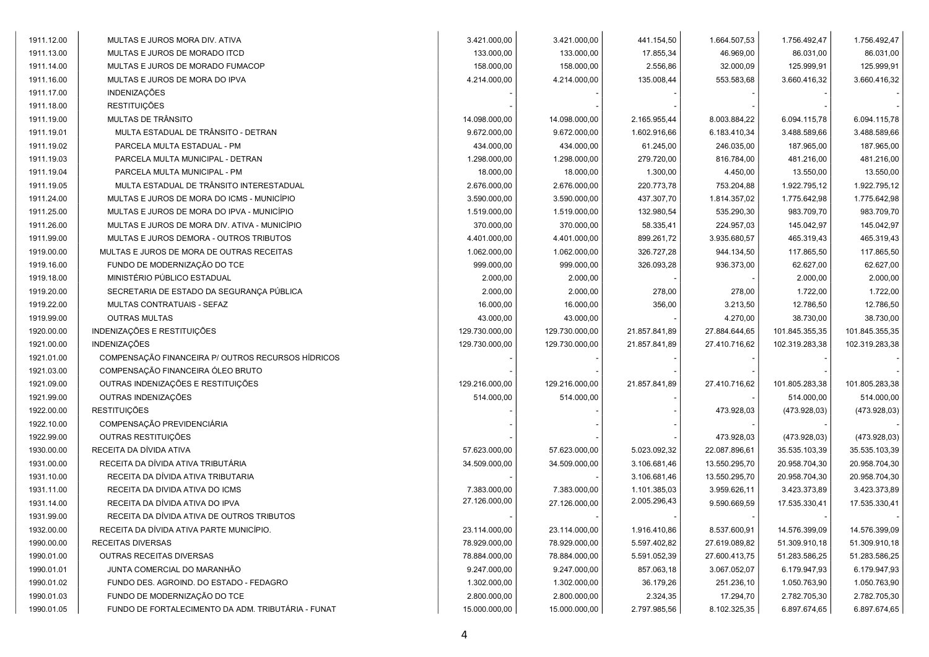| 1911.12.00 | MULTAS E JUROS MORA DIV. ATIVA                     | 3.421.000,00   | 3.421.000,00   | 441.154,50    | 1.664.507,53  | 1.756.492,47   | 1.756.492,47   |
|------------|----------------------------------------------------|----------------|----------------|---------------|---------------|----------------|----------------|
| 1911.13.00 | MULTAS E JUROS DE MORADO ITCD                      | 133.000,00     | 133.000,00     | 17.855,34     | 46.969,00     | 86.031,00      | 86.031,00      |
| 1911.14.00 | MULTAS E JUROS DE MORADO FUMACOP                   | 158.000,00     | 158.000,00     | 2.556,86      | 32.000,09     | 125.999,91     | 125.999,91     |
| 1911.16.00 | MULTAS E JUROS DE MORA DO IPVA                     | 4.214.000,00   | 4.214.000,00   | 135.008,44    | 553.583,68    | 3.660.416,32   | 3.660.416,32   |
| 1911.17.00 | <b>INDENIZAÇÕES</b>                                |                |                |               |               |                |                |
| 1911.18.00 | <b>RESTITUIÇÕES</b>                                |                |                |               |               |                |                |
| 1911.19.00 | MULTAS DE TRÂNSITO                                 | 14.098.000,00  | 14.098.000,00  | 2.165.955,44  | 8.003.884,22  | 6.094.115,78   | 6.094.115,78   |
| 1911.19.01 | MULTA ESTADUAL DE TRÂNSITO - DETRAN                | 9.672.000.00   | 9.672.000,00   | 1.602.916,66  | 6.183.410,34  | 3.488.589,66   | 3.488.589,66   |
| 1911.19.02 | PARCELA MULTA ESTADUAL - PM                        | 434.000,00     | 434.000,00     | 61.245,00     | 246.035,00    | 187.965,00     | 187.965,00     |
| 1911.19.03 | PARCELA MULTA MUNICIPAL - DETRAN                   | 1.298.000,00   | 1.298.000,00   | 279.720,00    | 816.784,00    | 481.216,00     | 481.216,00     |
| 1911.19.04 | PARCELA MULTA MUNICIPAL - PM                       | 18.000,00      | 18.000,00      | 1.300,00      | 4.450,00      | 13.550,00      | 13.550,00      |
| 1911.19.05 | MULTA ESTADUAL DE TRÂNSITO INTERESTADUAL           | 2.676.000,00   | 2.676.000,00   | 220.773,78    | 753.204,88    | 1.922.795,12   | 1.922.795,12   |
| 1911.24.00 | MULTAS E JUROS DE MORA DO ICMS - MUNICÍPIO         | 3.590.000,00   | 3.590.000,00   | 437.307,70    | 1.814.357,02  | 1.775.642,98   | 1.775.642,98   |
| 1911.25.00 | MULTAS E JUROS DE MORA DO IPVA - MUNICÍPIO         | 1.519.000,00   | 1.519.000,00   | 132.980,54    | 535.290,30    | 983.709,70     | 983.709,70     |
| 1911.26.00 | MULTAS E JUROS DE MORA DIV. ATIVA - MUNICÍPIO      | 370.000,00     | 370.000,00     | 58.335,41     | 224.957,03    | 145.042,97     | 145.042,97     |
| 1911.99.00 | MULTAS E JUROS DEMORA - OUTROS TRIBUTOS            | 4.401.000,00   | 4.401.000,00   | 899.261,72    | 3.935.680,57  | 465.319,43     | 465.319,43     |
| 1919.00.00 | MULTAS E JUROS DE MORA DE OUTRAS RECEITAS          | 1.062.000,00   | 1.062.000,00   | 326.727,28    | 944.134,50    | 117.865,50     | 117.865,50     |
| 1919.16.00 | FUNDO DE MODERNIZAÇÃO DO TCE                       | 999.000,00     | 999.000,00     | 326.093,28    | 936.373,00    | 62.627,00      | 62.627,00      |
| 1919.18.00 | MINISTÉRIO PÚBLICO ESTADUAL                        | 2.000,00       | 2.000,00       |               |               | 2.000,00       | 2.000,00       |
| 1919.20.00 | SECRETARIA DE ESTADO DA SEGURANÇA PÚBLICA          | 2.000,00       | 2.000,00       | 278,00        | 278,00        | 1.722,00       | 1.722,00       |
| 1919.22.00 | MULTAS CONTRATUAIS - SEFAZ                         | 16.000,00      | 16.000,00      | 356,00        | 3.213,50      | 12.786,50      | 12.786,50      |
| 1919.99.00 | <b>OUTRAS MULTAS</b>                               | 43.000,00      | 43.000,00      |               | 4.270,00      | 38.730,00      | 38.730,00      |
| 1920.00.00 | INDENIZAÇÕES E RESTITUIÇÕES                        | 129.730.000,00 | 129.730.000,00 | 21.857.841,89 | 27.884.644,65 | 101.845.355,35 | 101.845.355,35 |
| 1921.00.00 | <b>INDENIZAÇÕES</b>                                | 129.730.000,00 | 129.730.000,00 | 21.857.841,89 | 27.410.716,62 | 102.319.283,38 | 102.319.283,38 |
| 1921.01.00 | COMPENSAÇÃO FINANCEIRA P/ OUTROS RECURSOS HÍDRICOS |                |                |               |               |                |                |
| 1921.03.00 | COMPENSAÇÃO FINANCEIRA ÓLEO BRUTO                  |                |                |               |               |                |                |
| 1921.09.00 | OUTRAS INDENIZAÇÕES E RESTITUIÇÕES                 | 129.216.000,00 | 129.216.000,00 | 21.857.841,89 | 27.410.716,62 | 101.805.283,38 | 101.805.283,38 |
| 1921.99.00 | OUTRAS INDENIZAÇÕES                                | 514.000,00     | 514.000,00     |               |               | 514.000,00     | 514.000,00     |
| 1922.00.00 | <b>RESTITUIÇÕES</b>                                |                |                |               | 473.928,03    | (473.928,03)   | (473.928,03)   |
| 1922.10.00 | COMPENSAÇÃO PREVIDENCIÁRIA                         |                |                |               |               |                |                |
| 1922.99.00 | OUTRAS RESTITUIÇÕES                                |                |                |               | 473.928,03    | (473.928,03)   | (473.928,03)   |
| 1930.00.00 | RECEITA DA DÍVIDA ATIVA                            | 57.623.000,00  | 57.623.000,00  | 5.023.092,32  | 22.087.896,61 | 35.535.103,39  | 35.535.103,39  |
| 1931.00.00 | RECEITA DA DÍVIDA ATIVA TRIBUTÁRIA                 | 34.509.000,00  | 34.509.000,00  | 3.106.681,46  | 13.550.295,70 | 20.958.704,30  | 20.958.704,30  |
| 1931.10.00 | RECEITA DA DÍVIDA ATIVA TRIBUTARIA                 |                |                | 3.106.681,46  | 13.550.295,70 | 20.958.704,30  | 20.958.704,30  |
| 1931.11.00 | RECEITA DA DIVIDA ATIVA DO ICMS                    | 7.383.000,00   | 7.383.000,00   | 1.101.385,03  | 3.959.626,11  | 3.423.373,89   | 3.423.373,89   |
| 1931.14.00 | RECEITA DA DÍVIDA ATIVA DO IPVA                    | 27.126.000,00  | 27.126.000,00  | 2.005.296,43  | 9.590.669,59  | 17.535.330,41  | 17.535.330,41  |
| 1931.99.00 | RECEITA DA DÍVIDA ATIVA DE OUTROS TRIBUTOS         |                |                |               |               |                |                |
| 1932.00.00 | RECEITA DA DÍVIDA ATIVA PARTE MUNICÍPIO.           | 23.114.000,00  | 23.114.000,00  | 1.916.410,86  | 8.537.600,91  | 14.576.399,09  | 14.576.399,09  |
| 1990.00.00 | RECEITAS DIVERSAS                                  | 78.929.000,00  | 78.929.000,00  | 5.597.402,82  | 27.619.089,82 | 51.309.910,18  | 51.309.910,18  |
| 1990.01.00 | OUTRAS RECEITAS DIVERSAS                           | 78.884.000,00  | 78.884.000,00  | 5.591.052,39  | 27.600.413,75 | 51.283.586,25  | 51.283.586,25  |
| 1990.01.01 | JUNTA COMERCIAL DO MARANHÃO                        | 9.247.000,00   | 9.247.000,00   | 857.063,18    | 3.067.052,07  | 6.179.947,93   | 6.179.947,93   |
| 1990.01.02 | FUNDO DES. AGROIND. DO ESTADO - FEDAGRO            | 1.302.000,00   | 1.302.000,00   | 36.179,26     | 251.236,10    | 1.050.763,90   | 1.050.763,90   |
| 1990.01.03 | FUNDO DE MODERNIZAÇÃO DO TCE                       | 2.800.000,00   | 2.800.000,00   | 2.324,35      | 17.294,70     | 2.782.705,30   | 2.782.705,30   |
| 1990.01.05 | FUNDO DE FORTALECIMENTO DA ADM. TRIBUTÁRIA - FUNAT | 15.000.000,00  | 15.000.000,00  | 2.797.985,56  | 8.102.325,35  | 6.897.674,65   | 6.897.674,65   |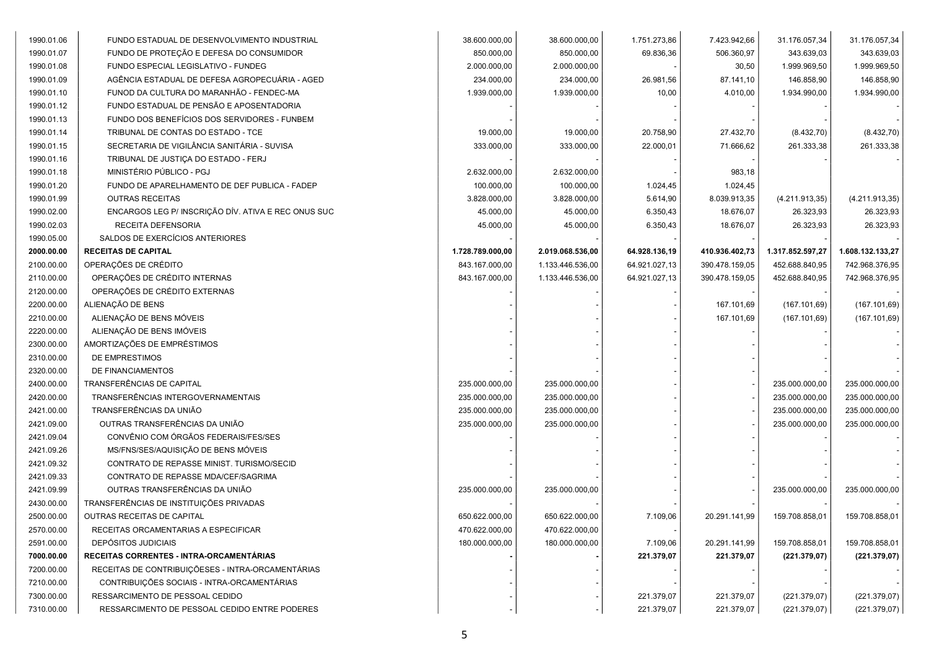| 1990.01.06 | FUNDO ESTADUAL DE DESENVOLVIMENTO INDUSTRIAL        | 38.600.000,00    | 38.600.000,00    | 1.751.273,86  | 7.423.942,66   | 31.176.057,34    | 31.176.057,34    |
|------------|-----------------------------------------------------|------------------|------------------|---------------|----------------|------------------|------------------|
| 1990.01.07 | FUNDO DE PROTEÇÃO E DEFESA DO CONSUMIDOR            | 850.000,00       | 850.000,00       | 69.836,36     | 506.360,97     | 343.639,03       | 343.639,03       |
| 1990.01.08 | FUNDO ESPECIAL LEGISLATIVO - FUNDEG                 | 2.000.000,00     | 2.000.000,00     |               | 30,50          | 1.999.969,50     | 1.999.969,50     |
| 1990.01.09 | AGÊNCIA ESTADUAL DE DEFESA AGROPECUARIA - AGED      | 234.000,00       | 234.000,00       | 26.981,56     | 87.141,10      | 146.858,90       | 146.858,90       |
| 1990.01.10 | FUNOD DA CULTURA DO MARANHÃO - FENDEC-MA            | 1.939.000,00     | 1.939.000,00     | 10,00         | 4.010,00       | 1.934.990,00     | 1.934.990,00     |
| 1990.01.12 | FUNDO ESTADUAL DE PENSÃO E APOSENTADORIA            |                  |                  |               |                |                  |                  |
| 1990.01.13 | FUNDO DOS BENEFÍCIOS DOS SERVIDORES - FUNBEM        |                  |                  |               |                |                  |                  |
| 1990.01.14 | TRIBUNAL DE CONTAS DO ESTADO - TCE                  | 19.000,00        | 19.000,00        | 20.758,90     | 27.432,70      | (8.432, 70)      | (8.432, 70)      |
| 1990.01.15 | SECRETARIA DE VIGILÂNCIA SANITÁRIA - SUVISA         | 333.000,00       | 333.000,00       | 22.000,01     | 71.666,62      | 261.333,38       | 261.333,38       |
| 1990.01.16 | TRIBUNAL DE JUSTIÇA DO ESTADO - FERJ                |                  |                  |               |                |                  |                  |
| 1990.01.18 | MINISTÉRIO PÚBLICO - PGJ                            | 2.632.000,00     | 2.632.000,00     |               | 983,18         |                  |                  |
| 1990.01.20 | FUNDO DE APARELHAMENTO DE DEF PUBLICA - FADEP       | 100.000,00       | 100.000,00       | 1.024,45      | 1.024,45       |                  |                  |
| 1990.01.99 | <b>OUTRAS RECEITAS</b>                              | 3.828.000,00     | 3.828.000,00     | 5.614,90      | 8.039.913,35   | (4.211.913,35)   | (4.211.913,35)   |
| 1990.02.00 | ENCARGOS LEG P/ INSCRIÇÃO DÍV. ATIVA E REC ONUS SUC | 45.000,00        | 45.000,00        | 6.350,43      | 18.676,07      | 26.323,93        | 26.323,93        |
| 1990.02.03 | RECEITA DEFENSORIA                                  | 45.000,00        | 45.000,00        | 6.350,43      | 18.676,07      | 26.323,93        | 26.323,93        |
| 1990.05.00 | SALDOS DE EXERCÍCIOS ANTERIORES                     |                  |                  |               |                |                  |                  |
| 2000.00.00 | <b>RECEITAS DE CAPITAL</b>                          | 1.728.789.000,00 | 2.019.068.536,00 | 64.928.136,19 | 410.936.402,73 | 1.317.852.597,27 | 1.608.132.133,27 |
| 2100.00.00 | OPERAÇÕES DE CRÉDITO                                | 843.167.000,00   | 1.133.446.536,00 | 64.921.027,13 | 390.478.159,05 | 452.688.840,95   | 742.968.376,95   |
| 2110.00.00 | OPERAÇÕES DE CRÉDITO INTERNAS                       | 843.167.000,00   | 1.133.446.536,00 | 64.921.027,13 | 390.478.159,05 | 452.688.840,95   | 742.968.376,95   |
| 2120.00.00 | OPERAÇÕES DE CRÉDITO EXTERNAS                       |                  |                  |               |                |                  |                  |
| 2200.00.00 | ALIENAÇÃO DE BENS                                   |                  |                  |               | 167.101,69     | (167.101,69)     | (167.101,69)     |
| 2210.00.00 | ALIENAÇÃO DE BENS MÓVEIS                            |                  |                  |               | 167.101,69     | (167.101,69)     | (167.101, 69)    |
| 2220.00.00 | ALIENAÇÃO DE BENS IMÓVEIS                           |                  |                  |               |                |                  |                  |
| 2300.00.00 | AMORTIZAÇÕES DE EMPRÉSTIMOS                         |                  |                  |               |                |                  |                  |
| 2310.00.00 | DE EMPRESTIMOS                                      |                  |                  |               |                |                  |                  |
| 2320.00.00 | DE FINANCIAMENTOS                                   |                  |                  |               |                |                  |                  |
| 2400.00.00 | TRANSFERÊNCIAS DE CAPITAL                           | 235.000.000,00   | 235.000.000,00   |               |                | 235.000.000,00   | 235.000.000,00   |
| 2420.00.00 | TRANSFERÊNCIAS INTERGOVERNAMENTAIS                  | 235.000.000,00   | 235.000.000,00   |               |                | 235.000.000,00   | 235.000.000,00   |
| 2421.00.00 | TRANSFERÊNCIAS DA UNIÃO                             | 235.000.000,00   | 235.000.000,00   |               |                | 235.000.000,00   | 235.000.000,00   |
| 2421.09.00 | OUTRAS TRANSFERÊNCIAS DA UNIÃO                      | 235.000.000,00   | 235.000.000,00   |               |                | 235.000.000,00   | 235.000.000,00   |
| 2421.09.04 | CONVÊNIO COM ÓRGÃOS FEDERAIS/FES/SES                |                  |                  |               |                |                  |                  |
| 2421.09.26 | MS/FNS/SES/AQUISIÇÃO DE BENS MÓVEIS                 |                  |                  |               |                |                  |                  |
| 2421.09.32 | CONTRATO DE REPASSE MINIST. TURISMO/SECID           |                  |                  |               |                |                  |                  |
| 2421.09.33 | CONTRATO DE REPASSE MDA/CEF/SAGRIMA                 |                  |                  |               |                |                  |                  |
| 2421.09.99 | OUTRAS TRANSFERÊNCIAS DA UNIÃO                      | 235.000.000,00   | 235.000.000,00   |               |                | 235.000.000,00   | 235.000.000,00   |
| 2430.00.00 | TRANSFERÊNCIAS DE INSTITUIÇÕES PRIVADAS             |                  |                  |               |                |                  |                  |
| 2500.00.00 | OUTRAS RECEITAS DE CAPITAL                          | 650.622.000,00   | 650.622.000,00   | 7.109,06      | 20.291.141,99  | 159.708.858,01   | 159.708.858,01   |
| 2570.00.00 | RECEITAS ORCAMENTARIAS A ESPECIFICAR                | 470.622.000,00   | 470.622.000,00   |               |                |                  |                  |
| 2591.00.00 | DEPÓSITOS JUDICIAIS                                 | 180.000.000.00   | 180.000.000.00   | 7.109,06      | 20.291.141,99  | 159.708.858,01   | 159.708.858,01   |
| 7000.00.00 | RECEITAS CORRENTES - INTRA-ORCAMENTÁRIAS            |                  |                  | 221.379,07    | 221.379,07     | (221.379.07)     | (221.379,07)     |
| 7200.00.00 | RECEITAS DE CONTRIBUIÇÕESES - INTRA-ORCAMENTÁRIAS   |                  |                  |               |                |                  |                  |
| 7210.00.00 | CONTRIBUIÇÕES SOCIAIS - INTRA-ORCAMENTÁRIAS         |                  |                  |               |                |                  |                  |
| 7300.00.00 | RESSARCIMENTO DE PESSOAL CEDIDO                     |                  |                  | 221.379,07    | 221.379,07     | (221.379,07)     | (221.379,07)     |
| 7310.00.00 | RESSARCIMENTO DE PESSOAL CEDIDO ENTRE PODERES       |                  |                  | 221.379,07    | 221.379,07     | (221.379,07)     | (221.379,07)     |